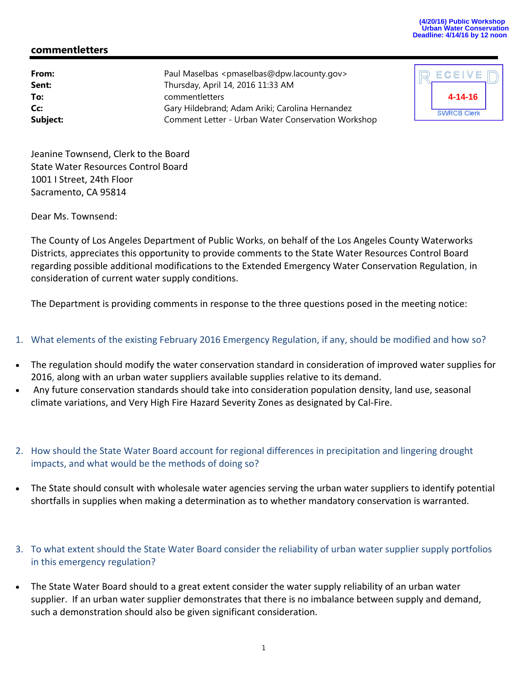## **(4/20/16) Public Workshop Urban Water Conservation Deadline: 4/14/16 by 12 noon**

## **commentletters**

**From:** Paul Maselbas <pmaselbas@dpw.lacounty.gov> **Sent:** Thursday, April 14, 2016 11:33 AM **To:** commentletters **Cc:** Gary Hildebrand; Adam Ariki; Carolina Hernandez **Subject:** Comment Letter - Urban Water Conservation Workshop

| ECEIVE             |  |
|--------------------|--|
| 4-14-16            |  |
| <b>SWRCB Clerk</b> |  |

Jeanine Townsend, Clerk to the Board State Water Resources Control Board 1001 I Street, 24th Floor Sacramento, CA 95814

Dear Ms. Townsend:

The County of Los Angeles Department of Public Works, on behalf of the Los Angeles County Waterworks Districts, appreciates this opportunity to provide comments to the State Water Resources Control Board regarding possible additional modifications to the Extended Emergency Water Conservation Regulation, in consideration of current water supply conditions.

The Department is providing comments in response to the three questions posed in the meeting notice:

- 1. What elements of the existing February 2016 Emergency Regulation, if any, should be modified and how so?
- The regulation should modify the water conservation standard in consideration of improved water supplies for 2016, along with an urban water suppliers available supplies relative to its demand.
- Any future conservation standards should take into consideration population density, land use, seasonal climate variations, and Very High Fire Hazard Severity Zones as designated by Cal‐Fire.
- 2. How should the State Water Board account for regional differences in precipitation and lingering drought impacts, and what would be the methods of doing so?
- The State should consult with wholesale water agencies serving the urban water suppliers to identify potential shortfalls in supplies when making a determination as to whether mandatory conservation is warranted.
- 3. To what extent should the State Water Board consider the reliability of urban water supplier supply portfolios in this emergency regulation?
- The State Water Board should to a great extent consider the water supply reliability of an urban water supplier. If an urban water supplier demonstrates that there is no imbalance between supply and demand, such a demonstration should also be given significant consideration.